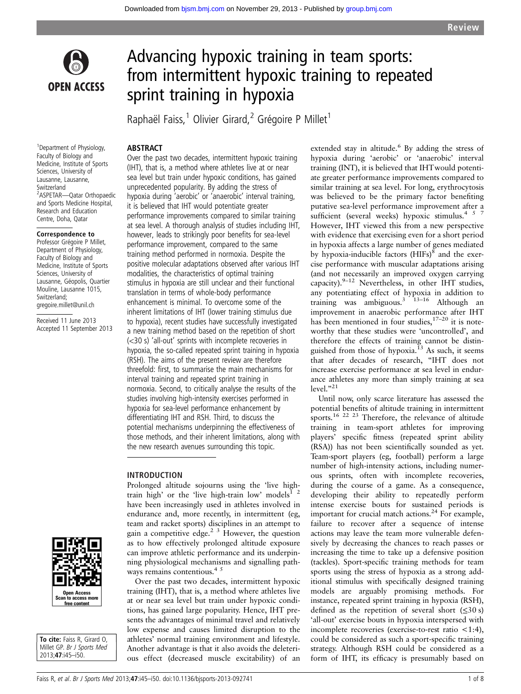

# Advancing hypoxic training in team sports: from intermittent hypoxic training to repeated sprint training in hypoxia

Raphaël Faiss,<sup>1</sup> Olivier Girard,<sup>2</sup> Grégoire P Millet<sup>1</sup>

#### ABSTRACT

<sup>1</sup> Department of Physiology, Faculty of Biology and Medicine, Institute of Sports Sciences, University of Lausanne, Lausanne, Switzerland <sup>2</sup>ASPETAR-Qatar Orthopaedic and Sports Medicine Hospital, Research and Education Centre, Doha, Qatar

#### Correspondence to

Professor Grégoire P Millet, Department of Physiology, Faculty of Biology and Medicine, Institute of Sports Sciences, University of Lausanne, Géopolis, Quartier Mouline, Lausanne 1015, Switzerland; gregoire.millet@unil.ch

Received 11 June 2013 Accepted 11 September 2013



To cite: Faiss R, Girard O, Millet GP. Br J Sports Med 2013;47:i45–i50.

Over the past two decades, intermittent hypoxic training (IHT), that is, a method where athletes live at or near sea level but train under hypoxic conditions, has gained unprecedented popularity. By adding the stress of hypoxia during 'aerobic' or 'anaerobic' interval training, it is believed that IHT would potentiate greater performance improvements compared to similar training at sea level. A thorough analysis of studies including IHT, however, leads to strikingly poor benefits for sea-level performance improvement, compared to the same training method performed in normoxia. Despite the positive molecular adaptations observed after various IHT modalities, the characteristics of optimal training stimulus in hypoxia are still unclear and their functional translation in terms of whole-body performance enhancement is minimal. To overcome some of the inherent limitations of IHT (lower training stimulus due to hypoxia), recent studies have successfully investigated a new training method based on the repetition of short (<30 s) 'all-out' sprints with incomplete recoveries in hypoxia, the so-called repeated sprint training in hypoxia (RSH). The aims of the present review are therefore threefold: first, to summarise the main mechanisms for interval training and repeated sprint training in normoxia. Second, to critically analyse the results of the studies involving high-intensity exercises performed in hypoxia for sea-level performance enhancement by differentiating IHT and RSH. Third, to discuss the potential mechanisms underpinning the effectiveness of those methods, and their inherent limitations, along with the new research avenues surrounding this topic.

#### INTRODUCTION

Prolonged altitude sojourns using the 'live hightrain high' or the 'live high-train low' models $1^2$ have been increasingly used in athletes involved in endurance and, more recently, in intermittent (eg, team and racket sports) disciplines in an attempt to gain a competitive edge.<sup>2 3</sup> However, the question as to how effectively prolonged altitude exposure can improve athletic performance and its underpinning physiological mechanisms and signalling pathways remains contentious.<sup>45</sup>

Over the past two decades, intermittent hypoxic training (IHT), that is, a method where athletes live at or near sea level but train under hypoxic conditions, has gained large popularity. Hence, IHT presents the advantages of minimal travel and relatively low expense and causes limited disruption to the athletes' normal training environment and lifestyle. Another advantage is that it also avoids the deleterious effect (decreased muscle excitability) of an

extended stay in altitude.<sup>6</sup> By adding the stress of hypoxia during 'aerobic' or 'anaerobic' interval training (INT), it is believed that IHTwould potentiate greater performance improvements compared to similar training at sea level. For long, erythrocytosis was believed to be the primary factor benefiting putative sea-level performance improvement after a sufficient (several weeks) hypoxic stimulus.<sup>457</sup> However, IHT viewed this from a new perspective with evidence that exercising even for a short period in hypoxia affects a large number of genes mediated by hypoxia-inducible factors  $(HIFs)^8$  and the exercise performance with muscular adaptations arising (and not necessarily an improved oxygen carrying capacity). $9-12$  Nevertheless, in other IHT studies, any potentiating effect of hypoxia in addition to training was ambiguous.<sup>3</sup>  $13-16$  Although an improvement in anaerobic performance after IHT has been mentioned in four studies, $17-20$  it is noteworthy that these studies were 'uncontrolled', and therefore the effects of training cannot be distinguished from those of hypoxia.<sup>13</sup> As such, it seems that after decades of research, "IHT does not increase exercise performance at sea level in endurance athletes any more than simply training at sea level."<sup>21</sup>

Until now, only scarce literature has assessed the potential benefits of altitude training in intermittent sports.<sup>16 22 23</sup> Therefore, the relevance of altitude training in team-sport athletes for improving players' specific fitness (repeated sprint ability (RSA)) has not been scientifically sounded as yet. Team-sport players (eg, football) perform a large number of high-intensity actions, including numerous sprints, often with incomplete recoveries, during the course of a game. As a consequence, developing their ability to repeatedly perform intense exercise bouts for sustained periods is important for crucial match actions.<sup>24</sup> For example, failure to recover after a sequence of intense actions may leave the team more vulnerable defensively by decreasing the chances to reach passes or increasing the time to take up a defensive position (tackles). Sport-specific training methods for team sports using the stress of hypoxia as a strong additional stimulus with specifically designed training models are arguably promising methods. For instance, repeated sprint training in hypoxia (RSH), defined as the repetition of several short  $(\leq 30 \text{ s})$ 'all-out' exercise bouts in hypoxia interspersed with incomplete recoveries (exercise-to-rest ratio <1:4), could be considered as such a sport-specific training strategy. Although RSH could be considered as a form of IHT, its efficacy is presumably based on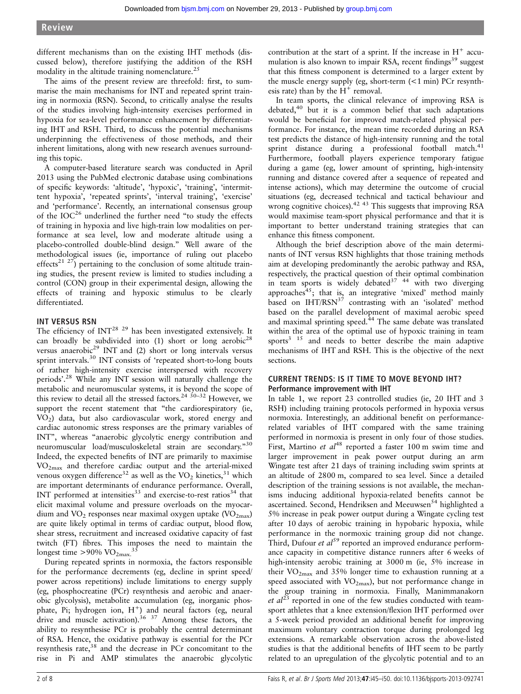different mechanisms than on the existing IHT methods (discussed below), therefore justifying the addition of the RSH modality in the altitude training nomenclature.<sup>25</sup>

The aims of the present review are threefold: first, to summarise the main mechanisms for INT and repeated sprint training in normoxia (RSN). Second, to critically analyse the results of the studies involving high-intensity exercises performed in hypoxia for sea-level performance enhancement by differentiating IHT and RSH. Third, to discuss the potential mechanisms underpinning the effectiveness of those methods, and their inherent limitations, along with new research avenues surrounding this topic.

A computer-based literature search was conducted in April 2013 using the PubMed electronic database using combinations of specific keywords: 'altitude', 'hypoxic', 'training', 'intermittent hypoxia', 'repeated sprints', 'interval training', 'exercise' and 'performance'. Recently, an international consensus group of the IOC<sup>26</sup> underlined the further need "to study the effects of training in hypoxia and live high-train low modalities on performance at sea level, low and moderate altitude using a placebo-controlled double-blind design." Well aware of the methodological issues (ie, importance of ruling out placebo effects<sup>21 27</sup>) pertaining to the conclusion of some altitude training studies, the present review is limited to studies including a control (CON) group in their experimental design, allowing the effects of training and hypoxic stimulus to be clearly differentiated.

#### INT VERSUS RSN

The efficiency of  $INT^{28}$  <sup>29</sup> has been investigated extensively. It can broadly be subdivided into  $(1)$  short or long aerobic<sup>28</sup> versus anaerobic<sup>29</sup> INT and (2) short or long intervals versus sprint intervals.<sup>30</sup> INT consists of 'repeated short-to-long bouts of rather high-intensity exercise interspersed with recovery periods'.<sup>28</sup> While any INT session will naturally challenge the metabolic and neuromuscular systems, it is beyond the scope of this review to detail all the stressed factors.<sup>24 30–32</sup> However, we support the recent statement that "the cardiorespiratory (ie, VO2) data, but also cardiovascular work, stored energy and cardiac autonomic stress responses are the primary variables of INT", whereas "anaerobic glycolytic energy contribution and neuromuscular load/musculoskeletal strain are secondary."<sup>30</sup> Indeed, the expected benefits of INT are primarily to maximise VO2max and therefore cardiac output and the arterial-mixed venous oxygen difference<sup>32</sup> as well as the  $VO<sub>2</sub>$  kinetics,<sup>31</sup> which are important determinants of endurance performance. Overall, INT performed at intensities<sup>33</sup> and exercise-to-rest ratios<sup>34</sup> that elicit maximal volume and pressure overloads on the myocardium and  $VO<sub>2</sub>$  responses near maximal oxygen uptake ( $VO<sub>2max</sub>$ ) are quite likely optimal in terms of cardiac output, blood flow, shear stress, recruitment and increased oxidative capacity of fast twitch (FT) fibres. This imposes the need to maintain the longest time >90% VO<sub>2max</sub><sup>3</sup>

During repeated sprints in normoxia, the factors responsible for the performance decrements (eg, decline in sprint speed/ power across repetitions) include limitations to energy supply (eg, phosphocreatine (PCr) resynthesis and aerobic and anaerobic glycolysis), metabolite accumulation (eg, inorganic phosphate, Pi; hydrogen ion, H<sup>+</sup>) and neural factors (eg, neural drive and muscle activation).<sup>36 37</sup> Among these factors, the ability to resynthesise PCr is probably the central determinant of RSA. Hence, the oxidative pathway is essential for the PCr resynthesis rate,<sup>38</sup> and the decrease in PCr concomitant to the rise in Pi and AMP stimulates the anaerobic glycolytic

contribution at the start of a sprint. If the increase in  $H^+$  accumulation is also known to impair RSA, recent findings<sup>39</sup> suggest that this fitness component is determined to a larger extent by the muscle energy supply (eg, short-term (<1 min) PCr resynthesis rate) than by the  $H^+$  removal.

In team sports, the clinical relevance of improving RSA is debated,<sup>40</sup> but it is a common belief that such adaptations would be beneficial for improved match-related physical performance. For instance, the mean time recorded during an RSA test predicts the distance of high-intensity running and the total sprint distance during a professional football match.<sup>41</sup> Furthermore, football players experience temporary fatigue during a game (eg, lower amount of sprinting, high-intensity running and distance covered after a sequence of repeated and intense actions), which may determine the outcome of crucial situations (eg, decreased technical and tactical behaviour and wrong cognitive choices).<sup>42 43</sup> This suggests that improving RSA would maximise team-sport physical performance and that it is important to better understand training strategies that can enhance this fitness component.

Although the brief description above of the main determinants of INT versus RSN highlights that those training methods aim at developing predominantly the aerobic pathway and RSA, respectively, the practical question of their optimal combination in team sports is widely debated $37 \frac{44}{100}$  with two diverging approaches<sup>45</sup>; that is, an integrative 'mixed' method mainly based on IHT/RSN<sup>37</sup> contrasting with an 'isolated' method based on the parallel development of maximal aerobic speed and maximal sprinting speed.<sup>44</sup> The same debate was translated within the area of the optimal use of hypoxic training in team sports $3<sup>15</sup>$  and needs to better describe the main adaptive mechanisms of IHT and RSH. This is the objective of the next sections.

#### CURRENT TRENDS: IS IT TIME TO MOVE BEYOND IHT? Performance improvement with IHT

In table 1, we report 23 controlled studies (ie, 20 IHT and 3 RSH) including training protocols performed in hypoxia versus normoxia. Interestingly, an additional benefit on performancerelated variables of IHT compared with the same training performed in normoxia is present in only four of those studies. First, Martino et  $al^{48}$  reported a faster 100 m swim time and larger improvement in peak power output during an arm Wingate test after 21 days of training including swim sprints at an altitude of 2800 m, compared to sea level. Since a detailed description of the training sessions is not available, the mechanisms inducing additional hypoxia-related benefits cannot be ascertained. Second, Hendriksen and Meeuwsen<sup>54</sup> highlighted a 5% increase in peak power output during a Wingate cycling test after 10 days of aerobic training in hypobaric hypoxia, while performance in the normoxic training group did not change. Third, Dufour et  $al^{59}$  reported an improved endurance performance capacity in competitive distance runners after 6 weeks of high-intensity aerobic training at 3000 m (ie, 5% increase in their  $VO_{2max}$  and 35% longer time to exhaustion running at a speed associated with  $VO<sub>2max</sub>$ ), but not performance change in the group training in normoxia. Finally, Manimmanakorn et  $al^{23}$  reported in one of the few studies conducted with teamsport athletes that a knee extension/flexion IHT performed over a 5-week period provided an additional benefit for improving maximum voluntary contraction torque during prolonged leg extensions. A remarkable observation across the above-listed studies is that the additional benefits of IHT seem to be partly related to an upregulation of the glycolytic potential and to an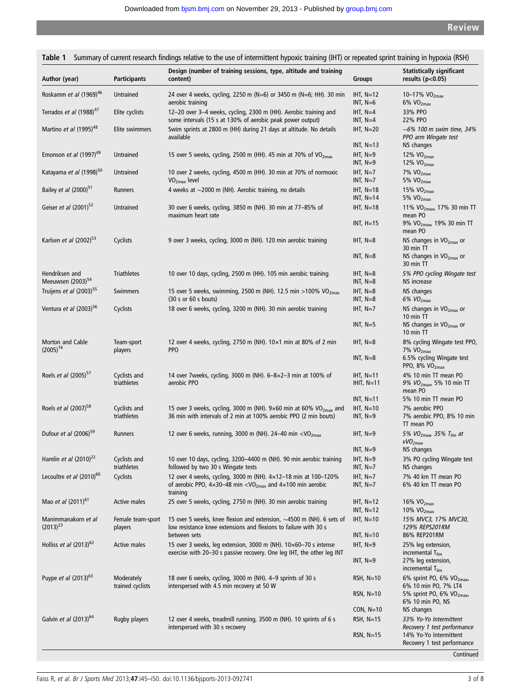Downloaded from [bjsm.bmj.com](http://bjsm.bmj.com/) on November 29, 2013 - Published by [group.bmj.com](http://group.bmj.com/)

#### Table 1 Summary of current research findings relative to the use of intermittent hypoxic training (IHT) or repeated sprint training in hypoxia (RSH)

| Author (year)                        | <b>Participants</b>         | Design (number of training sessions, type, altitude and training<br>content)                                                   | <b>Groups</b>              | <b>Statistically significant</b><br>results $(p<0.05)$                               |
|--------------------------------------|-----------------------------|--------------------------------------------------------------------------------------------------------------------------------|----------------------------|--------------------------------------------------------------------------------------|
| Roskamm et al (1969) <sup>46</sup>   | <b>Untrained</b>            | 24 over 4 weeks, cycling, 2250 m (N=6) or 3450 m (N=6; HH). 30 min                                                             | $IHT, N=12$                | 10-17% $VO_{2max}$                                                                   |
|                                      |                             | aerobic training                                                                                                               | INT, $N=6$                 | $6\%$ VO <sub>2max</sub>                                                             |
| Terrados et al (1988) <sup>47</sup>  | Elite cyclists              | 12-20 over 3-4 weeks, cycling, 2300 m (HH). Aerobic training and<br>some intervals (15 s at 130% of aerobic peak power output) | IHT, $N=4$<br>INT, $N=4$   | 33% PPO<br>22% PPO                                                                   |
| Martino et al (1995) <sup>48</sup>   | Elite swimmers              | Swim sprints at 2800 m (HH) during 21 days at altitude. No details                                                             | IHT, $N=20$                | $-6\%$ 100 m swim time, 34%                                                          |
|                                      |                             | available                                                                                                                      | INT, $N=13$                | PPO arm Wingate test<br>NS changes                                                   |
| Emonson et al $(1997)^{49}$          | <b>Untrained</b>            | 15 over 5 weeks, cycling, 2500 m (HH). 45 min at 70% of VO <sub>2max</sub>                                                     | $IHT, N=9$<br>INT, $N=9$   | $12\%$ VO <sub>2max</sub><br>12% VO <sub>2max</sub>                                  |
| Katayama et al (1998) <sup>50</sup>  | <b>Untrained</b>            | 10 over 2 weeks, cycling, 4500 m (HH). 30 min at 70% of normoxic<br>$VO2max$ level                                             | IHT, $N=7$<br>INT, $N=7$   | $7\%$ VO <sub>2max</sub><br>$5\%$ VO <sub>2max</sub>                                 |
| Bailey et al (2000) <sup>51</sup>    | Runners                     | 4 weeks at $\sim$ 2000 m (NH). Aerobic training, no details                                                                    | IHT, $N=18$                | 15% $VO2max$                                                                         |
| Geiser et al (2001) <sup>52</sup>    | <b>Untrained</b>            | 30 over 6 weeks, cycling, 3850 m (NH). 30 min at 77-85% of                                                                     | INT, $N=14$<br>IHT, $N=18$ | $5\%$ VO <sub>2max</sub><br>11% VO <sub>2max</sub> , 17% 30 min TT                   |
|                                      |                             | maximum heart rate                                                                                                             | INT, $H=15$                | mean PO<br>9% VO <sub>2max</sub> , 19% 30 min TT                                     |
|                                      |                             |                                                                                                                                |                            | mean PO                                                                              |
| Karlsen et al $(2002)^{53}$          | Cyclists                    | 9 over 3 weeks, cycling, 3000 m (NH). 120 min aerobic training                                                                 | IHT, $N=8$                 | NS changes in $VO2max$ or<br>30 min TT                                               |
|                                      |                             |                                                                                                                                | INT, $N=8$                 | NS changes in $VO2max$ or<br>30 min TT                                               |
| Hendriksen and                       | <b>Triathletes</b>          | 10 over 10 days, cycling, 2500 m (HH). 105 min aerobic training                                                                | IHT, $N=8$                 | 5% PPO cycling Wingate test                                                          |
| Meeuwsen (2003) <sup>54</sup>        |                             |                                                                                                                                | INT, $N=8$                 | NS increase                                                                          |
| Truijens et al (2003) <sup>55</sup>  | <b>Swimmers</b>             | 15 over 5 weeks, swimming, 2500 m (NH). 12.5 min >100% VO <sub>2max</sub><br>$(30 s or 60 s$ bouts)                            | $IHT, N=8$<br>INT, $N=8$   | NS changes<br>$6\%$ VO <sub>2max</sub>                                               |
| Ventura et al (2003) <sup>56</sup>   | Cyclists                    | 18 over 6 weeks, cycling, 3200 m (NH). 30 min aerobic training                                                                 | IHT, $N=7$                 | NS changes in $VO2max$ or                                                            |
|                                      |                             |                                                                                                                                | INT, $N=5$                 | 10 min TT<br>NS changes in $VO2max$ or<br>10 min TT                                  |
| Morton and Cable                     | Team-sport                  | 12 over 4 weeks, cycling, 2750 m (NH). $10\times1$ min at 80% of 2 min                                                         | IHT, $N=8$                 | 8% cycling Wingate test PPO,                                                         |
| $(2005)^{16}$                        | players                     | <b>PPO</b>                                                                                                                     | INT, $N=8$                 | 7% $VO2max$<br>6.5% cycling Wingate test<br>PPO, $8\%$ VO <sub>2max</sub>            |
| Roels et al (2005) <sup>57</sup>     | Cyclists and                | 14 over 7weeks, cycling, 3000 m (NH). 6-8×2-3 min at 100% of                                                                   | IHT, $N=11$                | 4% 10 min TT mean PO                                                                 |
|                                      | triathletes                 | aerobic PPO                                                                                                                    | IHIT, $N=11$               | 9% $VO_{2max}$ , 5% 10 min TT<br>mean PO                                             |
| Roels et al (2007) <sup>58</sup>     | Cyclists and                | 15 over 3 weeks, cycling, 3000 m (NH). 9×60 min at 60% VO <sub>2max</sub> and                                                  | INT, $N=11$<br>IHT, $N=10$ | 5% 10 min TT mean PO<br>7% aerobic PPO                                               |
|                                      | triathletes                 | 36 min with intervals of 2 min at 100% aerobic PPO (2 min bouts)                                                               | INT, $N=9$                 | 7% aerobic PPO, 8% 10 min<br>TT mean PO                                              |
| Dufour et al $(2006)^{59}$           | Runners                     | 12 over 6 weeks, running, 3000 m (NH). 24–40 min $\langle V_0 \rangle$ <sub>max</sub>                                          | IHT, $N=9$                 | 5% VO <sub>2max</sub> , 35% T <sub>lim</sub> at<br>vVO <sub>2max</sub>               |
|                                      |                             |                                                                                                                                | INT, $N=9$                 | NS changes                                                                           |
| Hamlin et al $(2010)^{22}$           | Cyclists and<br>triathletes | 10 over 10 days, cycling, 3200-4400 m (NH). 90 min aerobic training<br>followed by two 30 s Wingate tests                      | IHT, $N=9$<br>INT, $N=7$   | 3% PO cycling Wingate test<br>NS changes                                             |
| Lecoultre et al (2010) <sup>60</sup> | Cyclists                    | 12 over 4 weeks, cycling, 3000 m (NH). 4x12-18 min at 100-120%                                                                 | IHT, $N=7$                 | 7% 40 km TT mean PO                                                                  |
|                                      |                             | of aerobic PPO, $4 \times 30 - 48$ min <vo<sub>2max and <math>4 \times 100</math> min aerobic<br/>training</vo<sub>            | INT, $N=7$                 | 6% 40 km TT mean PO                                                                  |
| Mao et al (2011) <sup>61</sup>       | Active males                | 25 over 5 weeks, cycling, 2750 m (NH). 30 min aerobic training                                                                 | $IHT, N=12$<br>INT, $N=12$ | 16% $VO_{2max}$<br>10% VO <sub>2max</sub>                                            |
| Manimmanakorn et al                  | Female team-sport           | 15 over 5 weeks, knee flexion and extension, $\sim$ 4500 m (NH). 6 sets of                                                     | $IHT, N=10$                | 15% MVC3, 17% MVC30,                                                                 |
| $(2013)^{23}$                        | players                     | low resistance knee extensions and flexions to failure with 30 s<br>between sets                                               | INT, $N=10$                | 129% REPS201RM<br>86% REP201RM                                                       |
| Holliss et al $(2013)^{62}$          | <b>Active males</b>         | 15 over 3 weeks, leg extension, 3000 m (NH). $10\times60-70$ s intense                                                         | IHT, $N=9$                 | 25% leg extension,                                                                   |
|                                      |                             | exercise with 20–30 s passive recovery. One leg IHT, the other leg INT                                                         | INT, $N=9$                 | incremental T <sub>lim</sub><br>27% leg extension,                                   |
| Puype et al (2013) <sup>63</sup>     | Moderately                  | 18 over 6 weeks, cycling, 3000 m (NH). 4–9 sprints of 30 s                                                                     | $RSH$ , $N=10$             | incremental T <sub>lim</sub><br>6% sprint PO, 6% $VO2max$ ,                          |
|                                      | trained cyclists            | interspersed with 4.5 min recovery at 50 W                                                                                     | $RSN, N=10$                | 6% 10 min PO, 7% LT4<br>5% sprint PO, 6% VO <sub>2max</sub> ,                        |
|                                      |                             |                                                                                                                                | CON, $N=10$                | 6% 10 min PO, NS<br>NS changes                                                       |
| Galvin et al (2013) <sup>64</sup>    | Rugby players               | 12 over 4 weeks, treadmill running, 3500 m (NH). 10 sprints of 6 s                                                             | $RSH$ , N=15               | 33% Yo-Yo Intermittent                                                               |
|                                      |                             | interspersed with 30 s recovery                                                                                                | $RSN, N=15$                | Recovery 1 test performance<br>14% Yo-Yo Intermittent<br>Recovery 1 test performance |

**Continued**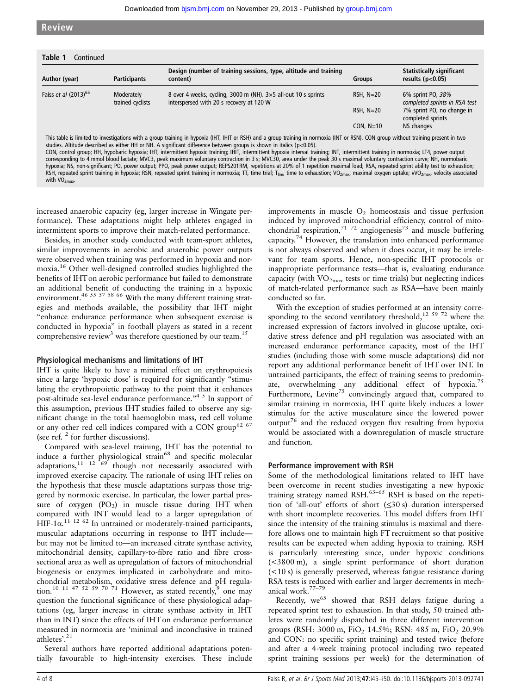| Table 1<br>Continued                                                                                                                                                                 |                                |                                                                                                            |                |                                                        |  |
|--------------------------------------------------------------------------------------------------------------------------------------------------------------------------------------|--------------------------------|------------------------------------------------------------------------------------------------------------|----------------|--------------------------------------------------------|--|
| Author (year)                                                                                                                                                                        | <b>Participants</b>            | Design (number of training sessions, type, altitude and training<br>content)                               | <b>Groups</b>  | <b>Statistically significant</b><br>results $(p<0.05)$ |  |
| Faiss et al (2013) <sup>65</sup>                                                                                                                                                     | Moderately<br>trained cyclists | 8 over 4 weeks, cycling, 3000 m (NH). 3x5 all-out 10 s sprints<br>interspersed with 20 s recovery at 120 W | $RSH$ , $N=20$ | 6% sprint PO, 38%<br>completed sprints in RSA test     |  |
|                                                                                                                                                                                      |                                |                                                                                                            | $RSH$ , $N=20$ | 7% sprint PO, no change in<br>completed sprints        |  |
|                                                                                                                                                                                      |                                |                                                                                                            | $CON. N=10$    | NS changes                                             |  |
| This table is limited to investigations with a group training in hypoxia (IHT, IHIT or RSH) and a group training in normoxia (INT or RSN). CON group without training present in two |                                |                                                                                                            |                |                                                        |  |

studies. Altitude described as either HH or NH. A significant difference between groups is shown in italics (p<0.05). CON, control group; HH, hypobaric hypoxia; IHT, intermittent hypoxic training; IHIT, intermittent hypoxia interval training; INT, intermittent training in normoxia; LT4, power output corresponding to 4 mmol blood lactate; MVC3, peak maximum voluntary contraction in 3 s; MVC30, area under the peak 30 s maximal voluntary contraction curve; NH, normobaric hypoxia; NS, non-significant; PO, power output; PPO, peak power output; REPS201RM, repetitions at 20% of 1 repetition maximal load; RSA, repeated sprint ability test to exhaustion; RSH, repeated sprint training in hypoxia; RSN, repeated sprint training in normoxia; TT, time trial; T<sub>lim</sub>, time to exhaustion; VO<sub>2max</sub>, maximal oxygen uptake; vVO<sub>2max</sub>, velocity associated with  $VO<sub>2max</sub>$ </sub>

increased anaerobic capacity (eg, larger increase in Wingate performance). These adaptations might help athletes engaged in intermittent sports to improve their match-related performance.

Besides, in another study conducted with team-sport athletes, similar improvements in aerobic and anaerobic power outputs were observed when training was performed in hypoxia and normoxia.16 Other well-designed controlled studies highlighted the benefits of IHTon aerobic performance but failed to demonstrate an additional benefit of conducting the training in a hypoxic environment.<sup>46 55 57 58 66</sup> With the many different training strategies and methods available, the possibility that IHT might "enhance endurance performance when subsequent exercise is conducted in hypoxia" in football players as stated in a recent comprehensive review<sup>3</sup> was therefore questioned by our team.<sup>15</sup>

#### Physiological mechanisms and limitations of IHT

IHT is quite likely to have a minimal effect on erythropoiesis since a large 'hypoxic dose' is required for significantly "stimulating the erythropoietic pathway to the point that it enhances post-altitude sea-level endurance performance."4 5 In support of this assumption, previous IHT studies failed to observe any significant change in the total haemoglobin mass, red cell volume or any other red cell indices compared with a CON group<sup>62 67</sup> (see ref.  $2$  for further discussions).

Compared with sea-level training, IHT has the potential to induce a further physiological strain<sup>68</sup> and specific molecular adaptations,  $11 \tcdot 12 \tcdot 69$  though not necessarily associated with improved exercise capacity. The rationale of using IHT relies on the hypothesis that these muscle adaptations surpass those triggered by normoxic exercise. In particular, the lower partial pressure of oxygen  $(PO<sub>2</sub>)$  in muscle tissue during IHT when compared with INT would lead to a larger upregulation of  $HIF-1\alpha$ .<sup>11 12 62</sup> In untrained or moderately-trained participants, muscular adaptations occurring in response to IHT include but may not be limited to—an increased citrate synthase activity, mitochondrial density, capillary-to-fibre ratio and fibre crosssectional area as well as upregulation of factors of mitochondrial biogenesis or enzymes implicated in carbohydrate and mitochondrial metabolism, oxidative stress defence and pH regulation.<sup>10 11 47 52 59 70 71</sup> However, as stated recently,<sup>9</sup> one may question the functional significance of these physiological adaptations (eg, larger increase in citrate synthase activity in IHT than in INT) since the effects of IHT on endurance performance measured in normoxia are 'minimal and inconclusive in trained athletes'. 21

Several authors have reported additional adaptations potentially favourable to high-intensity exercises. These include

improvements in muscle  $O_2$  homeostasis and tissue perfusion induced by improved mitochondrial efficiency, control of mitochondrial respiration,<sup>71 72</sup> angiogenesis<sup>73</sup> and muscle buffering capacity.74 However, the translation into enhanced performance is not always observed and when it does occur, it may be irrelevant for team sports. Hence, non-specific IHT protocols or inappropriate performance tests—that is, evaluating endurance capacity (with  $VO<sub>2max</sub>$  tests or time trials) but neglecting indices of match-related performance such as RSA—have been mainly conducted so far.

With the exception of studies performed at an intensity corresponding to the second ventilatory threshold,<sup>12 59 72</sup> where the increased expression of factors involved in glucose uptake, oxidative stress defence and pH regulation was associated with an increased endurance performance capacity, most of the IHT studies (including those with some muscle adaptations) did not report any additional performance benefit of IHT over INT. In untrained participants, the effect of training seems to predominate, overwhelming any additional effect of hypoxia.<sup>75</sup> Furthermore, Levine<sup>75</sup> convincingly argued that, compared to similar training in normoxia, IHT quite likely induces a lower stimulus for the active musculature since the lowered power output<sup>76</sup> and the reduced oxygen flux resulting from hypoxia would be associated with a downregulation of muscle structure and function.

#### Performance improvement with RSH

Some of the methodological limitations related to IHT have been overcome in recent studies investigating a new hypoxic training strategy named  $RSH$ <sup>63–65</sup> RSH is based on the repetition of 'all-out' efforts of short (≤30 s) duration interspersed with short incomplete recoveries. This model differs from IHT since the intensity of the training stimulus is maximal and therefore allows one to maintain high FT recruitment so that positive results can be expected when adding hypoxia to training. RSH is particularly interesting since, under hypoxic conditions (<3800 m), a single sprint performance of short duration (<10 s) is generally preserved, whereas fatigue resistance during RSA tests is reduced with earlier and larger decrements in mechanical work.77–<sup>79</sup>

Recently, we<sup>65</sup> showed that RSH delays fatigue during a repeated sprint test to exhaustion. In that study, 50 trained athletes were randomly dispatched in three different intervention groups (RSH: 3000 m, FiO<sub>2</sub> 14.5%; RSN: 485 m, FiO<sub>2</sub> 20.9% and CON: no specific sprint training) and tested twice (before and after a 4-week training protocol including two repeated sprint training sessions per week) for the determination of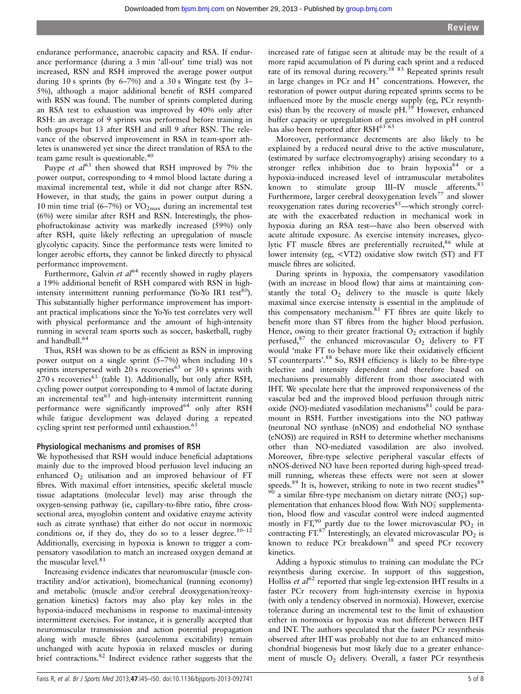endurance performance, anaerobic capacity and RSA. If endurance performance (during a 3 min 'all-out' time trial) was not increased, RSN and RSH improved the average power output during 10 s sprints (by  $6-7\%$ ) and a 30 s Wingate test (by 3– 5%), although a major additional benefit of RSH compared with RSN was found. The number of sprints completed during an RSA test to exhaustion was improved by 40% only after RSH: an average of 9 sprints was performed before training in both groups but 13 after RSH and still 9 after RSN. The relevance of the observed improvement in RSA in team-sport athletes is unanswered yet since the direct translation of RSA to the team game result is questionable.<sup>40</sup>

Puype et  $al^{63}$  then showed that RSH improved by 7% the power output, corresponding to 4 mmol blood lactate during a maximal incremental test, while it did not change after RSN. However, in that study, the gains in power output during a 10 min time trial (6–7%) or  $VO_{2max}$  during an incremental test (6%) were similar after RSH and RSN. Interestingly, the phosphofructokinase activity was markedly increased (59%) only after RSH, quite likely reflecting an upregulation of muscle glycolytic capacity. Since the performance tests were limited to longer aerobic efforts, they cannot be linked directly to physical performance improvement.

Furthermore, Galvin et  $al^{64}$  recently showed in rugby players a 19% additional benefit of RSH compared with RSN in highintensity intermittent running performance (Yo-Yo IR1 test $^{80}$ ). This substantially higher performance improvement has important practical implications since the Yo-Yo test correlates very well with physical performance and the amount of high-intensity running in several team sports such as soccer, basketball, rugby and handball.<sup>64</sup>

Thus, RSH was shown to be as efficient as RSN in improving power output on a single sprint (5–7%) when including 10 s sprints interspersed with 20 s recoveries<sup>65</sup> or 30 s sprints with  $270$  s recoveries<sup>63</sup> (table 1). Additionally, but only after RSH, cycling power output corresponding to 4 mmol of lactate during an incremental test $63$  and high-intensity intermittent running performance were significantly improved<sup>64</sup> only after RSH while fatigue development was delayed during a repeated cycling sprint test performed until exhaustion.<sup>65</sup>

#### Physiological mechanisms and promises of RSH

We hypothesised that RSH would induce beneficial adaptations mainly due to the improved blood perfusion level inducing an enhanced  $O_2$  utilisation and an improved behaviour of FT fibres. With maximal effort intensities, specific skeletal muscle tissue adaptations (molecular level) may arise through the oxygen-sensing pathway (ie, capillary-to-fibre ratio, fibre crosssectional area, myoglobin content and oxidative enzyme activity such as citrate synthase) that either do not occur in normoxic conditions or, if they do, they do so to a lesser degree.<sup>10-12</sup> Additionally, exercising in hypoxia is known to trigger a compensatory vasodilation to match an increased oxygen demand at the muscular level.<sup>81</sup>

Increasing evidence indicates that neuromuscular (muscle contractility and/or activation), biomechanical (running economy) and metabolic (muscle and/or cerebral deoxygenation/reoxygenation kinetics) factors may also play key roles in the hypoxia-induced mechanisms in response to maximal-intensity intermittent exercises. For instance, it is generally accepted that neuromuscular transmission and action potential propagation along with muscle fibres (sarcolemma excitability) remain unchanged with acute hypoxia in relaxed muscles or during brief contractions.82 Indirect evidence rather suggests that the

increased rate of fatigue seen at altitude may be the result of a more rapid accumulation of Pi during each sprint and a reduced rate of its removal during recovery.<sup>38 83</sup> Repeated sprints result in large changes in PCr and  $H^+$  concentrations. However, the restoration of power output during repeated sprints seems to be influenced more by the muscle energy supply (eg, PCr resynthesis) than by the recovery of muscle  $pH<sup>39</sup>$  However, enhanced buffer capacity or upregulation of genes involved in pH control has also been reported after RSH<sup>63 65</sup>

Moreover, performance decrements are also likely to be explained by a reduced neural drive to the active musculature, (estimated by surface electromyography) arising secondary to a stronger reflex inhibition due to brain hypoxi $a^{84}$  or a hypoxia-induced increased level of intramuscular metabolites known to stimulate group III–IV muscle afferents.<sup>83</sup> Furthermore, larger cerebral deoxygenation levels<sup>77</sup> and slower reoxygenation rates during recoveries<sup>85</sup>—which strongly correlate with the exacerbated reduction in mechanical work in hypoxia during an RSA test—have also been observed with acute altitude exposure. As exercise intensity increases, glycolytic FT muscle fibres are preferentially recruited,<sup>86</sup> while at lower intensity (eg, <VT2) oxidative slow twitch (ST) and FT muscle fibres are solicited.

During sprints in hypoxia, the compensatory vasodilation (with an increase in blood flow) that aims at maintaining constantly the total  $O_2$  delivery to the muscle is quite likely maximal since exercise intensity is essential in the amplitude of this compensatory mechanism.<sup>81</sup> FT fibres are quite likely to benefit more than ST fibres from the higher blood perfusion. Hence, owing to their greater fractional  $O_2$  extraction if highly perfused, $87$  the enhanced microvascular O<sub>2</sub> delivery to FT would 'make FT to behave more like their oxidatively efficient ST counterparts'.<sup>88</sup> So, RSH efficiency is likely to be fibre-type selective and intensity dependent and therefore based on mechanisms presumably different from those associated with IHT. We speculate here that the improved responsiveness of the vascular bed and the improved blood perfusion through nitric oxide (NO)-mediated vasodilation mechanisms<sup>81</sup> could be paramount in RSH. Further investigations into the NO pathway (neuronal NO synthase (nNOS) and endothelial NO synthase (eNOS)) are required in RSH to determine whether mechanisms other than NO-mediated vasodilation are also involved. Moreover, fibre-type selective peripheral vascular effects of nNOS-derived NO have been reported during high-speed treadmill running, whereas these effects were not seen at slower speeds.<sup>89</sup> It is, however, striking to note in two recent studies<sup>89</sup>  $90$  a similar fibre-type mechanism on dietary nitrate (NO<sub>3</sub>) supplementation that enhances blood flow. With NO<sub>3</sub> supplementation, blood flow and vascular control were indeed augmented mostly in FT,<sup>90</sup> partly due to the lower microvascular PO<sub>2</sub> in contracting FT. $87$  Interestingly, an elevated microvascular PO<sub>2</sub> is known to reduce PCr breakdown<sup>38</sup> and speed PCr recovery kinetics.

Adding a hypoxic stimulus to training can modulate the PCr resynthesis during exercise. In support of this suggestion, Holliss et  $al^{62}$  reported that single leg-extension IHT results in a faster PCr recovery from high-intensity exercise in hypoxia (with only a tendency observed in normoxia). However, exercise tolerance during an incremental test to the limit of exhaustion either in normoxia or hypoxia was not different between IHT and INT. The authors speculated that the faster PCr resynthesis observed after IHT was probably not due to an enhanced mitochondrial biogenesis but most likely due to a greater enhancement of muscle  $O_2$  delivery. Overall, a faster PCr resynthesis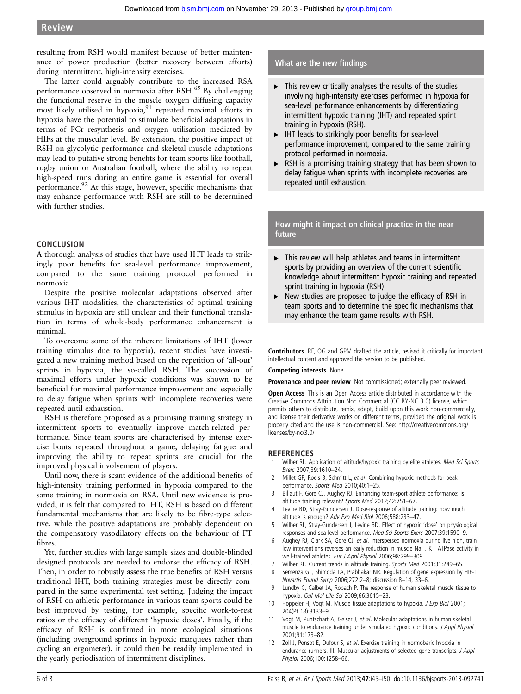resulting from RSH would manifest because of better maintenance of power production (better recovery between efforts) during intermittent, high-intensity exercises.

The latter could arguably contribute to the increased RSA performance observed in normoxia after RSH.<sup>65</sup> By challenging the functional reserve in the muscle oxygen diffusing capacity most likely utilised in hypoxia,<sup>91</sup> repeated maximal efforts in hypoxia have the potential to stimulate beneficial adaptations in terms of PCr resynthesis and oxygen utilisation mediated by HIFs at the muscular level. By extension, the positive impact of RSH on glycolytic performance and skeletal muscle adaptations may lead to putative strong benefits for team sports like football, rugby union or Australian football, where the ability to repeat high-speed runs during an entire game is essential for overall performance. $92$  At this stage, however, specific mechanisms that may enhance performance with RSH are still to be determined with further studies.

#### **CONCLUSION**

A thorough analysis of studies that have used IHT leads to strikingly poor benefits for sea-level performance improvement, compared to the same training protocol performed in normoxia.

Despite the positive molecular adaptations observed after various IHT modalities, the characteristics of optimal training stimulus in hypoxia are still unclear and their functional translation in terms of whole-body performance enhancement is minimal.

To overcome some of the inherent limitations of IHT (lower training stimulus due to hypoxia), recent studies have investigated a new training method based on the repetition of 'all-out' sprints in hypoxia, the so-called RSH. The succession of maximal efforts under hypoxic conditions was shown to be beneficial for maximal performance improvement and especially to delay fatigue when sprints with incomplete recoveries were repeated until exhaustion.

RSH is therefore proposed as a promising training strategy in intermittent sports to eventually improve match-related performance. Since team sports are characterised by intense exercise bouts repeated throughout a game, delaying fatigue and improving the ability to repeat sprints are crucial for the improved physical involvement of players.

Until now, there is scant evidence of the additional benefits of high-intensity training performed in hypoxia compared to the same training in normoxia on RSA. Until new evidence is provided, it is felt that compared to IHT, RSH is based on different fundamental mechanisms that are likely to be fibre-type selective, while the positive adaptations are probably dependent on the compensatory vasodilatory effects on the behaviour of FT fibres.

Yet, further studies with large sample sizes and double-blinded designed protocols are needed to endorse the efficacy of RSH. Then, in order to robustly assess the true benefits of RSH versus traditional IHT, both training strategies must be directly compared in the same experimental test setting. Judging the impact of RSH on athletic performance in various team sports could be best improved by testing, for example, specific work-to-rest ratios or the efficacy of different 'hypoxic doses'. Finally, if the efficacy of RSH is confirmed in more ecological situations (including overground sprints in hypoxic marquees rather than cycling an ergometer), it could then be readily implemented in the yearly periodisation of intermittent disciplines.

#### What are the new findings

- $\triangleright$  This review critically analyses the results of the studies involving high-intensity exercises performed in hypoxia for sea-level performance enhancements by differentiating intermittent hypoxic training (IHT) and repeated sprint training in hypoxia (RSH).
- ▸ IHT leads to strikingly poor benefits for sea-level performance improvement, compared to the same training protocol performed in normoxia.
- RSH is a promising training strategy that has been shown to delay fatigue when sprints with incomplete recoveries are repeated until exhaustion.

How might it impact on clinical practice in the near future

- $\triangleright$  This review will help athletes and teams in intermittent sports by providing an overview of the current scientific knowledge about intermittent hypoxic training and repeated sprint training in hypoxia (RSH).
- ▸ New studies are proposed to judge the efficacy of RSH in team sports and to determine the specific mechanisms that may enhance the team game results with RSH.

Contributors RF, OG and GPM drafted the article, revised it critically for important intellectual content and approved the version to be published.

#### Competing interests None.

Provenance and peer review Not commissioned; externally peer reviewed.

Open Access This is an Open Access article distributed in accordance with the Creative Commons Attribution Non Commercial (CC BY-NC 3.0) license, which permits others to distribute, remix, adapt, build upon this work non-commercially, and license their derivative works on different terms, provided the original work is properly cited and the use is non-commercial. See: [http://creativecommons.org/](http://creativecommons.org/licenses/by-nc/3.0/) [licenses/by-nc/3.0/](http://creativecommons.org/licenses/by-nc/3.0/)

#### **REFERENCES**

- Wilber RL. Application of altitude/hypoxic training by elite athletes. Med Sci Sports Exerc 2007;39:1610–24.
- Millet GP, Roels B, Schmitt L, et al. Combining hypoxic methods for peak performance. Sports Med 2010;40:1–25.
- 3 Billaut F, Gore CJ, Aughey RJ. Enhancing team-sport athlete performance: is altitude training relevant? Sports Med 2012;42:751–67.
- 4 Levine BD, Stray-Gundersen J. Dose-response of altitude training: how much altitude is enough? Adv Exp Med Biol 2006;588:233–47.
- 5 Wilber RL, Stray-Gundersen J, Levine BD. Effect of hypoxic 'dose' on physiological responses and sea-level performance. Med Sci Sports Exerc 2007;39:1590–9.
- Aughey RJ, Clark SA, Gore CJ, et al. Interspersed normoxia during live high, train low interventions reverses an early reduction in muscle Na+, K+ ATPase activity in well-trained athletes. Eur J Appl Physiol 2006;98:299–309.
- Wilber RL. Current trends in altitude training. Sports Med 2001;31:249-65.
- 8 Semenza GL, Shimoda LA, Prabhakar NR. Regulation of gene expression by HIF-1. Novartis Found Symp 2006;272:2–8; discussion 8–14, 33–6.
- Lundby C, Calbet JA, Robach P. The response of human skeletal muscle tissue to hypoxia. Cell Mol Life Sci 2009;66:3615–23.
- Hoppeler H, Vogt M. Muscle tissue adaptations to hypoxia. J Exp Biol 2001; 204(Pt 18):3133–9.
- 11 Vogt M, Puntschart A, Geiser J, et al. Molecular adaptations in human skeletal muscle to endurance training under simulated hypoxic conditions. J Appl Physiol 2001;91:173–82.
- 12 Zoll J, Ponsot E, Dufour S, et al. Exercise training in normobaric hypoxia in endurance runners. III. Muscular adjustments of selected gene transcripts. J Appl Physiol 2006;100:1258–66.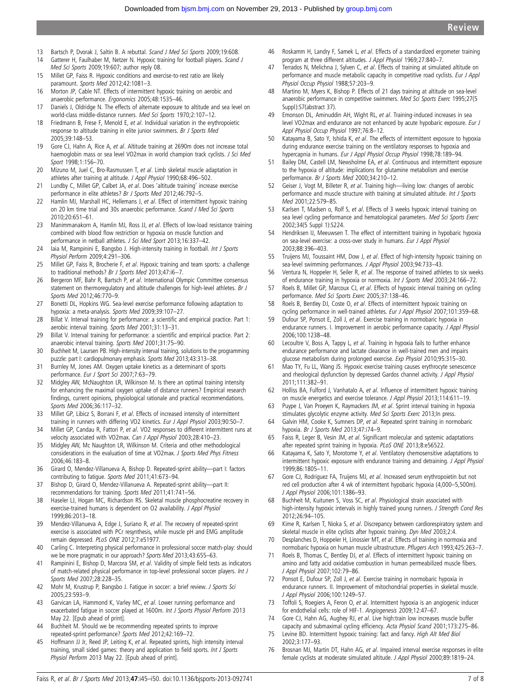- 13 Bartsch P, Dvorak J, Saltin B. A rebuttal. Scand J Med Sci Sports 2009;19:608.
- 14 Gatterer H, Faulhaber M, Netzer N. Hypoxic training for football players. Scand J Med Sci Sports 2009;19:607; author reply 08.
- 15 Millet GP, Faiss R. Hypoxic conditions and exercise-to-rest ratio are likely paramount. Sports Med 2012;42:1081–3.
- 16 Morton JP, Cable NT. Effects of intermittent hypoxic training on aerobic and anaerobic performance. Ergonomics 2005;48:1535–46.
- 17 Daniels J, Oldridge N. The effects of alternate exposure to altitude and sea level on world-class middle-distance runners. Med Sci Sports 1970;2:107–12.
- 18 Friedmann B, Frese F, Menold E, et al. Individual variation in the erythropoietic response to altitude training in elite junior swimmers. Br J Sports Med 2005;39:148–53.
- 19 Gore CJ, Hahn A, Rice A, et al. Altitude training at 2690m does not increase total haemoglobin mass or sea level VO2max in world champion track cyclists. J Sci Med Sport 1998;1:156–70.
- 20 Mizuno M, Juel C, Bro-Rasmussen T, et al. Limb skeletal muscle adaptation in athletes after training at altitude. J Appl Physiol 1990;68:496–502.
- 21 Lundby C, Millet GP, Calbet JA, et al. Does 'altitude training' increase exercise performance in elite athletes? Br J Sports Med 2012;46:792-5.
- 22 Hamlin MJ, Marshall HC, Hellemans J, et al. Effect of intermittent hypoxic training on 20 km time trial and 30s anaerobic performance. Scand J Med Sci Sports 2010;20:651–61.
- 23 Manimmanakorn A, Hamlin MJ, Ross JJ, et al. Effects of low-load resistance training combined with blood flow restriction or hypoxia on muscle function and performance in netball athletes. J Sci Med Sport 2013;16:337–42.
- 24 Iaia M, Rampinini E, Bangsbo J. High-intensity training in football. Int J Sports Physiol Perform 2009;4:291–306.
- 25 Millet GP, Faiss R, Brocherie F, et al. Hypoxic training and team sports: a challenge to traditional methods? Br J Sports Med 2013;47:i6–7.
- 26 Bergeron MF, Bahr R, Bartsch P, et al. International Olympic Committee consensus statement on thermoregulatory and altitude challenges for high-level athletes. Br J Sports Med 2012;46:770–9.
- 27 Bonetti DL, Hopkins WG. Sea-level exercise performance following adaptation to hypoxia: a meta-analysis. Sports Med 2009;39:107–27.
- 28 Billat V. Interval training for performance: a scientific and empirical practice. Part 1: aerobic interval training. Sports Med 2001;31:13–31.
- 29 Billat V. Interval training for performance: a scientific and empirical practice. Part 2: anaerobic interval training. Sports Med 2001;31:75–90.
- 30 Buchheit M, Laursen PB. High-intensity interval training, solutions to the programming puzzle: part I: cardiopulmonary emphasis. Sports Med 2013;43:313–38.
- 31 Burnley M, Jones AM. Oxygen uptake kinetics as a determinant of sports performance. Eur J Sport Sci 2007;7:63–79.
- 32 Midgley AW, McNaughton LR, Wilkinson M. Is there an optimal training intensity for enhancing the maximal oxygen uptake of distance runners? Empirical research findings, current opinions, physiological rationale and practical recommendations. Sports Med 2006;36:117–32.
- 33 Millet GP, Libicz S, Borrani F, et al. Effects of increased intensity of intermittent training in runners with differing VO2 kinetics. Eur J Appl Physiol 2003;90:50-7.
- 34 Millet GP, Candau R, Fattori P, et al. VO2 responses to different intermittent runs at velocity associated with VO2max. Can J Appl Physiol 2003;28:410–23.
- 35 Midgley AW, Mc Naughton LR, Wilkinson M. Criteria and other methodological considerations in the evaluation of time at VO2max. J Sports Med Phys Fitness 2006;46:183–8.
- 36 Girard O, Mendez-Villanueva A, Bishop D. Repeated-sprint ability—part I: factors contributing to fatigue. Sports Med 2011;41:673–94.
- 37 Bishop D, Girard O, Mendez-Villanueva A. Repeated-sprint ability—part II: recommendations for training. Sports Med 2011;41:741–56.
- 38 Haseler LJ, Hogan MC, Richardson RS. Skeletal muscle phosphocreatine recovery in exercise-trained humans is dependent on O2 availability. J Appl Physiol 1999;86:2013–18.
- 39 Mendez-Villanueva A, Edge J, Suriano R, et al. The recovery of repeated-sprint exercise is associated with PCr resynthesis, while muscle pH and EMG amplitude remain depressed. PLoS ONE 2012;7:e51977.
- 40 Carling C. Interpreting physical performance in professional soccer match-play: should we be more pragmatic in our approach? Sports Med 2013;43:655–63.
- 41 Rampinini E, Bishop D, Marcora SM, et al. Validity of simple field tests as indicators of match-related physical performance in top-level professional soccer players. Int J Sports Med 2007:28:228-35.
- 42 Mohr M, Krustrup P, Bangsbo J. Fatigue in soccer: a brief review. J Sports Sci 2005;23:593–9.
- 43 Garvican LA, Hammond K, Varley MC, et al. Lower running performance and exacerbated fatigue in soccer played at 1600m. Int J Sports Physiol Perform 2013 May 22. [Epub ahead of print].
- 44 Buchheit M. Should we be recommending repeated sprints to improve repeated-sprint performance? Sports Med 2012;42:169–72.
- 45 Hoffmann JJ Jr, Reed JP, Leiting K, et al. Repeated sprints, high intensity interval training, small sided games: theory and application to field sports. Int J Sports Physiol Perform 2013 May 22. [Epub ahead of print].
- 46 Roskamm H, Landry F, Samek L, et al. Effects of a standardized ergometer training program at three different altitudes. J Appl Physiol 1969;27:840-7.
- 47 Terrados N, Melichna J, Sylven C, et al. Effects of training at simulated altitude on performance and muscle metabolic capacity in competitive road cyclists. Eur J Appl Physiol Occup Physiol 1988;57:203–9.
- 48 Martino M, Myers K, Bishop P. Effects of 21 days training at altitude on sea-level anaerobic performance in competitive swimmers. Med Sci Sports Exerc 1995;27(5 Suppl):S7(abstract 37).
- 49 Emonson DL, Aminuddin AH, Wight RL, et al. Training-induced increases in sea level VO2max and endurance are not enhanced by acute hypobaric exposure. Eur J Appl Physiol Occup Physiol 1997;76:8–12.
- Katayama B, Sato Y, Ishida K, et al. The effects of intermittent exposure to hypoxia during endurance exercise training on the ventilatory responses to hypoxia and hypercapnia in humans. Eur J Appl Physiol Occup Physiol 1998;78:189-94.
- 51 Bailey DM, Castell LM, Newsholme EA, et al. Continuous and intermittent exposure to the hypoxia of altitude: implications for glutamine metabolism and exercise performance. Br J Sports Med 2000;34:210-12.
- 52 Geiser J, Vogt M, Billeter R, et al. Training high—living low: changes of aerobic performance and muscle structure with training at simulated altitude. Int J Sports Med 2001;22:579–85.
- 53 Karlsen T, Madsen o, Rolf S, et al. Effects of 3 weeks hypoxic interval training on sea level cycling performance and hematological parameters. Med Sci Sports Exerc 2002;34(5 Suppl 1):S224.
- 54 Hendriksen IJ, Meeuwsen T. The effect of intermittent training in hypobaric hypoxia on sea-level exercise: a cross-over study in humans. Eur J Appl Physiol 2003;88:396–403.
- 55 Truijens MJ, Toussaint HM, Dow J, et al. Effect of high-intensity hypoxic training on sea-level swimming performances. J Appl Physiol 2003;94:733–43.
- 56 Ventura N, Hoppeler H, Seiler R, et al. The response of trained athletes to six weeks of endurance training in hypoxia or normoxia. Int J Sports Med 2003;24:166–72.
- 57 Roels B, Millet GP, Marcoux CJ, et al. Effects of hypoxic interval training on cycling performance. Med Sci Sports Exerc 2005;37:138–46.
- 58 Roels B, Bentley DJ, Coste O, et al. Effects of intermittent hypoxic training on cycling performance in well-trained athletes. Eur J Appl Physiol 2007;101:359-68.
- 59 Dufour SP, Ponsot E, Zoll J, et al. Exercise training in normobaric hypoxia in endurance runners. I. Improvement in aerobic performance capacity. J Appl Physiol 2006;100:1238–48.
- 60 Lecoultre V, Boss A, Tappy L, et al. Training in hypoxia fails to further enhance endurance performance and lactate clearance in well-trained men and impairs glucose metabolism during prolonged exercise. Exp Physiol 2010;95:315–30.
- 61 Mao TY, Fu LL, Wang JS. Hypoxic exercise training causes erythrocyte senescence and rheological dysfunction by depressed Gardos channel activity. J Appl Physiol 2011;111:382–91.
- 62 Holliss BA, Fulford J, Vanhatalo A, et al. Influence of intermittent hypoxic training on muscle energetics and exercise tolerance. J Appl Physiol 2013;114:611–19.
- 63 Puype J, Van Proeyen K, Raymackers JM, et al. Sprint interval training in hypoxia stimulates glycolytic enzyme activity. Med Sci Sports Exerc 2013; In press.
- 64 Galvin HM, Cooke K, Sumners DP, et al. Repeated sprint training in normobaric hypoxia. Br J Sports Med 2013;47:i74-9.
- 65 Faiss R, Leger B, Vesin JM, et al. Significant molecular and systemic adaptations after repeated sprint training in hypoxia. PLoS ONE 2013;8:e56522.
- 66 Katayama K, Sato Y, Morotome Y, et al. Ventilatory chemosensitive adaptations to intermittent hypoxic exposure with endurance training and detraining. J Appl Physiol 1999;86:1805–11.
- 67 Gore CJ, Rodriguez FA, Truijens MJ, et al. Increased serum erythropoietin but not red cell production after 4 wk of intermittent hypobaric hypoxia (4,000–5,500m). J Appl Physiol 2006;101:1386–93.
- 68 Buchheit M, Kuitunen S, Voss SC, et al. Physiological strain associated with high-intensity hypoxic intervals in highly trained young runners. J Strength Cond Res 2012;26:94–105.
- 69 Kime R, Karlsen T, Nioka S, et al. Discrepancy between cardiorespiratory system and skeletal muscle in elite cyclists after hypoxic training. Dyn Med 2003;2:4.
- 70 Desplanches D, Hoppeler H, Linossier MT, et al. Effects of training in normoxia and normobaric hypoxia on human muscle ultrastructure. Pflugers Arch 1993;425:263–7.
- 71 Roels B, Thomas C, Bentley DJ, et al. Effects of intermittent hypoxic training on amino and fatty acid oxidative combustion in human permeabilized muscle fibers. J Appl Physiol 2007;102:79–86.
- 72 Ponsot E, Dufour SP, Zoll J, et al. Exercise training in normobaric hypoxia in endurance runners. II. Improvement of mitochondrial properties in skeletal muscle. J Appl Physiol 2006;100:1249–57.
- 73 Toffoli S, Roegiers A, Feron O, et al. Intermittent hypoxia is an angiogenic inducer for endothelial cells: role of HIF-1. Angiogenesis 2009;12:47–67.
- 74 Gore CJ, Hahn AG, Aughey RJ, et al. Live high:train low increases muscle buffer capacity and submaximal cycling efficiency. Acta Physiol Scand 2001;173:275–86.
- 75 Levine BD. Intermittent hypoxic training: fact and fancy. High Alt Med Biol 2002;3:177–93.
- 76 Brosnan MJ, Martin DT, Hahn AG, et al. Impaired interval exercise responses in elite female cyclists at moderate simulated altitude. J Appl Physiol 2000;89:1819–24.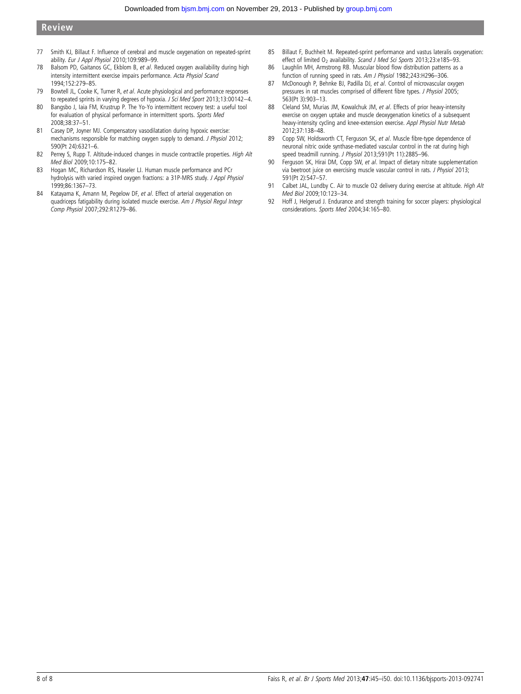### Review

- 77 Smith KJ, Billaut F. Influence of cerebral and muscle oxygenation on repeated-sprint ability. Eur J Appl Physiol 2010;109:989-99.
- 78 Balsom PD, Gaitanos GC, Ekblom B, et al. Reduced oxygen availability during high intensity intermittent exercise impairs performance. Acta Physiol Scand 1994;152:279–85.
- 79 Bowtell JL, Cooke K, Turner R, et al. Acute physiological and performance responses to repeated sprints in varying degrees of hypoxia. J Sci Med Sport 2013;13:00142-4.
- 80 Bangsbo J, Iaia FM, Krustrup P. The Yo-Yo intermittent recovery test: a useful tool for evaluation of physical performance in intermittent sports. Sports Med 2008;38:37–51.
- 81 Casey DP, Joyner MJ. Compensatory vasodilatation during hypoxic exercise: mechanisms responsible for matching oxygen supply to demand. J Physiol 2012; 590(Pt 24):6321–6.
- 82 Perrey S, Rupp T. Altitude-induced changes in muscle contractile properties. High Alt Med Biol 2009;10:175–82.
- 83 Hogan MC, Richardson RS, Haseler LJ. Human muscle performance and PCr hydrolysis with varied inspired oxygen fractions: a 31P-MRS study. J Appl Physiol 1999;86:1367–73.
- 84 Katayama K, Amann M, Pegelow DF, et al. Effect of arterial oxygenation on quadriceps fatigability during isolated muscle exercise. Am J Physiol Regul Integr Comp Physiol 2007;292:R1279–86.
- 85 Billaut F, Buchheit M. Repeated-sprint performance and vastus lateralis oxygenation: effect of limited O<sub>2</sub> availability. Scand J Med Sci Sports 2013;23:e185-93.
- 86 Laughlin MH, Armstrong RB. Muscular blood flow distribution patterns as a function of running speed in rats. Am J Physiol 1982;243:H296-306.
- 87 McDonough P, Behnke BJ, Padilla DJ, et al. Control of microvascular oxygen pressures in rat muscles comprised of different fibre types. J Physiol 2005; 563(Pt 3):903–13.
- 88 Cleland SM, Murias JM, Kowalchuk JM, et al. Effects of prior heavy-intensity exercise on oxygen uptake and muscle deoxygenation kinetics of a subsequent heavy-intensity cycling and knee-extension exercise. Appl Physiol Nutr Metab 2012;37:138–48.
- 89 Copp SW, Holdsworth CT, Ferguson SK, et al. Muscle fibre-type dependence of neuronal nitric oxide synthase-mediated vascular control in the rat during high speed treadmill running. J Physiol 2013;591(Pt 11):2885–96.
- 90 Ferguson SK, Hirai DM, Copp SW, et al. Impact of dietary nitrate supplementation via beetroot juice on exercising muscle vascular control in rats. J Physiol 2013; 591(Pt 2):547–57.
- 91 Calbet JAL, Lundby C. Air to muscle O2 delivery during exercise at altitude. High Alt Med Biol 2009;10:123–34.
- 92 Hoff J, Helgerud J. Endurance and strength training for soccer players: physiological considerations. Sports Med 2004;34:165–80.